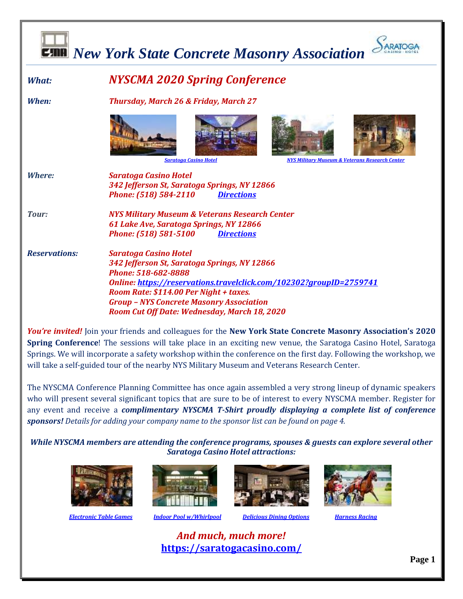

*You're invited!* Join your friends and colleagues for the **New York State Concrete Masonry Association's 2020 Spring Conference**! The sessions will take place in an exciting new venue, the Saratoga Casino Hotel, Saratoga Springs. We will incorporate a safety workshop within the conference on the first day. Following the workshop, we will take a self-guided tour of the nearby NYS Military Museum and Veterans Research Center.

The NYSCMA Conference Planning Committee has once again assembled a very strong lineup of dynamic speakers who will present several significant topics that are sure to be of interest to every NYSCMA member. Register for any event and receive a *complimentary NYSCMA T-Shirt proudly displaying a complete list of conference sponsors! Details for adding your company name to the sponsor list can be found on page 4.* 

*While NYSCMA members are attending the conference programs, spouses & guests can explore several other Saratoga Casino Hotel attractions:*





 *[Electronic Table Games](https://saratogacasino.com/casino/) [Indoor Pool w/Whirlpool](https://saratogacasino.com/hotel/) [Delicious Dining Options](https://saratogacasino.com/dining/) [Harness Racing](https://saratogacasino.com/racing/)*





*And much, much more!* **<https://saratogacasino.com/>**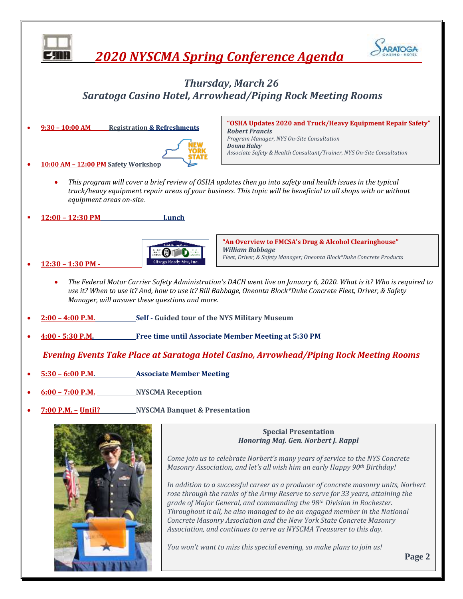

*You won't want to miss this special evening, so make plans to join us!*

**Page 2**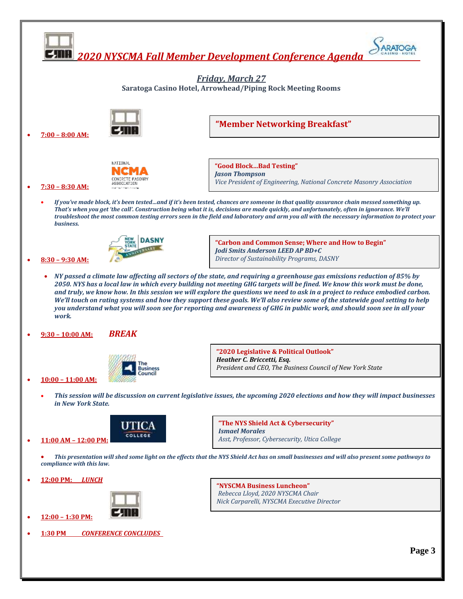